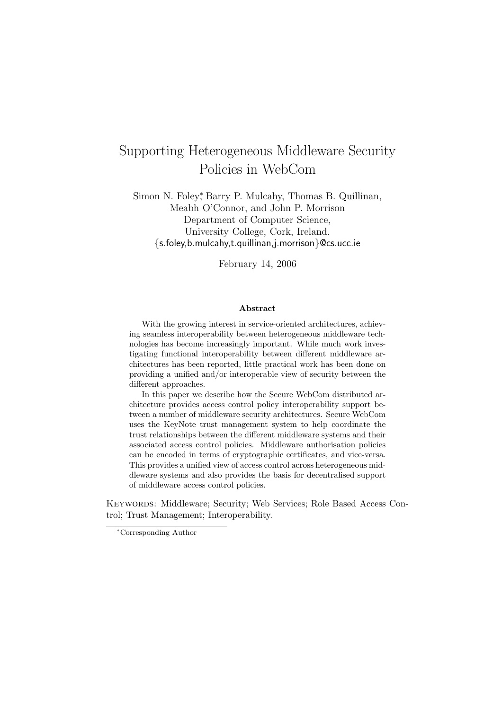# Supporting Heterogeneous Middleware Security Policies in WebCom

Simon N. Foley<sup>\*</sup>, Barry P. Mulcahy, Thomas B. Quillinan, Meabh O'Connor, and John P. Morrison Department of Computer Science, University College, Cork, Ireland. {s.foley,b.mulcahy,t.quillinan,j.morrison}@cs.ucc.ie

February 14, 2006

#### Abstract

With the growing interest in service-oriented architectures, achieving seamless interoperability between heterogeneous middleware technologies has become increasingly important. While much work investigating functional interoperability between different middleware architectures has been reported, little practical work has been done on providing a unified and/or interoperable view of security between the different approaches.

In this paper we describe how the Secure WebCom distributed architecture provides access control policy interoperability support between a number of middleware security architectures. Secure WebCom uses the KeyNote trust management system to help coordinate the trust relationships between the different middleware systems and their associated access control policies. Middleware authorisation policies can be encoded in terms of cryptographic certificates, and vice-versa. This provides a unified view of access control across heterogeneous middleware systems and also provides the basis for decentralised support of middleware access control policies.

Keywords: Middleware; Security; Web Services; Role Based Access Control; Trust Management; Interoperability.

<sup>∗</sup>Corresponding Author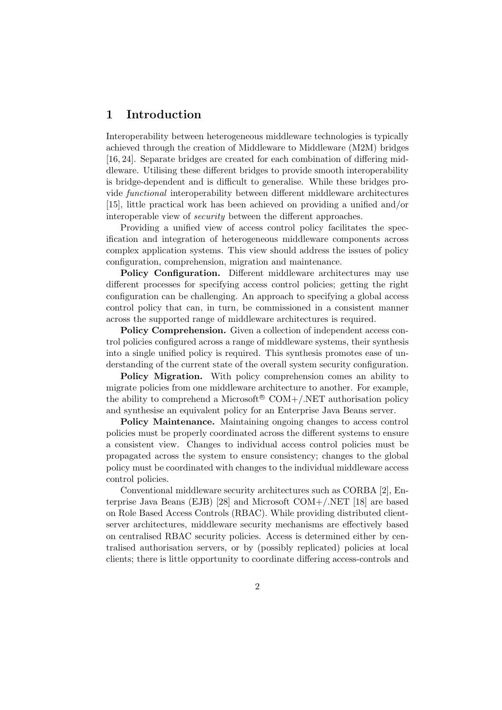# 1 Introduction

Interoperability between heterogeneous middleware technologies is typically achieved through the creation of Middleware to Middleware (M2M) bridges [16, 24]. Separate bridges are created for each combination of differing middleware. Utilising these different bridges to provide smooth interoperability is bridge-dependent and is difficult to generalise. While these bridges provide functional interoperability between different middleware architectures [15], little practical work has been achieved on providing a unified and/or interoperable view of *security* between the different approaches.

Providing a unified view of access control policy facilitates the specification and integration of heterogeneous middleware components across complex application systems. This view should address the issues of policy configuration, comprehension, migration and maintenance.

Policy Configuration. Different middleware architectures may use different processes for specifying access control policies; getting the right configuration can be challenging. An approach to specifying a global access control policy that can, in turn, be commissioned in a consistent manner across the supported range of middleware architectures is required.

Policy Comprehension. Given a collection of independent access control policies configured across a range of middleware systems, their synthesis into a single unified policy is required. This synthesis promotes ease of understanding of the current state of the overall system security configuration.

Policy Migration. With policy comprehension comes an ability to migrate policies from one middleware architecture to another. For example, the ability to comprehend a Microsoft<sup>®</sup> COM+/.NET authorisation policy and synthesise an equivalent policy for an Enterprise Java Beans server.

Policy Maintenance. Maintaining ongoing changes to access control policies must be properly coordinated across the different systems to ensure a consistent view. Changes to individual access control policies must be propagated across the system to ensure consistency; changes to the global policy must be coordinated with changes to the individual middleware access control policies.

Conventional middleware security architectures such as CORBA [2], Enterprise Java Beans (EJB) [28] and Microsoft COM+/.NET [18] are based on Role Based Access Controls (RBAC). While providing distributed clientserver architectures, middleware security mechanisms are effectively based on centralised RBAC security policies. Access is determined either by centralised authorisation servers, or by (possibly replicated) policies at local clients; there is little opportunity to coordinate differing access-controls and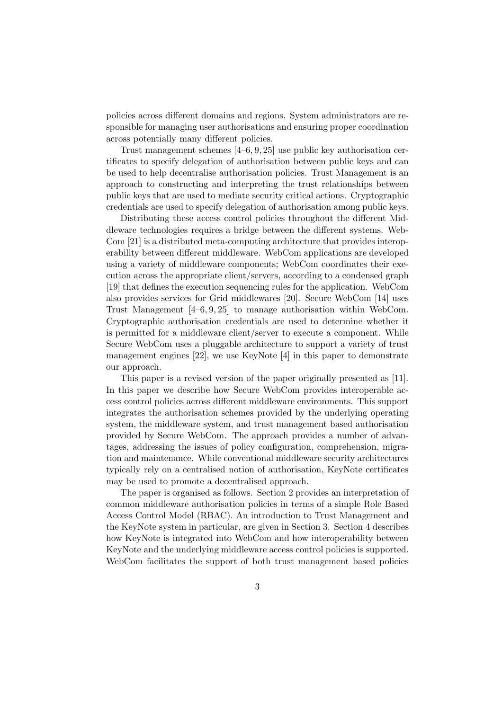policies across different domains and regions. System administrators are responsible for managing user authorisations and ensuring proper coordination across potentially many different policies.

Trust management schemes [4–6, 9, 25] use public key authorisation certificates to specify delegation of authorisation between public keys and can be used to help decentralise authorisation policies. Trust Management is an approach to constructing and interpreting the trust relationships between public keys that are used to mediate security critical actions. Cryptographic credentials are used to specify delegation of authorisation among public keys.

Distributing these access control policies throughout the different Middleware technologies requires a bridge between the different systems. Web-Com [21] is a distributed meta-computing architecture that provides interoperability between different middleware. WebCom applications are developed using a variety of middleware components; WebCom coordinates their execution across the appropriate client/servers, according to a condensed graph [19] that defines the execution sequencing rules for the application. WebCom also provides services for Grid middlewares [20]. Secure WebCom [14] uses Trust Management [4–6, 9, 25] to manage authorisation within WebCom. Cryptographic authorisation credentials are used to determine whether it is permitted for a middleware client/server to execute a component. While Secure WebCom uses a pluggable architecture to support a variety of trust management engines [22], we use KeyNote [4] in this paper to demonstrate our approach.

This paper is a revised version of the paper originally presented as [11]. In this paper we describe how Secure WebCom provides interoperable access control policies across different middleware environments. This support integrates the authorisation schemes provided by the underlying operating system, the middleware system, and trust management based authorisation provided by Secure WebCom. The approach provides a number of advantages, addressing the issues of policy configuration, comprehension, migration and maintenance. While conventional middleware security architectures typically rely on a centralised notion of authorisation, KeyNote certificates may be used to promote a decentralised approach.

The paper is organised as follows. Section 2 provides an interpretation of common middleware authorisation policies in terms of a simple Role Based Access Control Model (RBAC). An introduction to Trust Management and the KeyNote system in particular, are given in Section 3. Section 4 describes how KeyNote is integrated into WebCom and how interoperability between KeyNote and the underlying middleware access control policies is supported. WebCom facilitates the support of both trust management based policies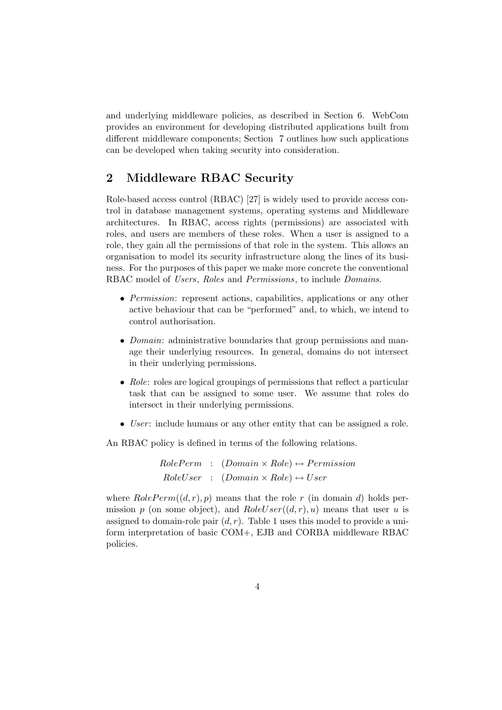and underlying middleware policies, as described in Section 6. WebCom provides an environment for developing distributed applications built from different middleware components; Section 7 outlines how such applications can be developed when taking security into consideration.

# 2 Middleware RBAC Security

Role-based access control (RBAC) [27] is widely used to provide access control in database management systems, operating systems and Middleware architectures. In RBAC, access rights (permissions) are associated with roles, and users are members of these roles. When a user is assigned to a role, they gain all the permissions of that role in the system. This allows an organisation to model its security infrastructure along the lines of its business. For the purposes of this paper we make more concrete the conventional RBAC model of *Users*, *Roles* and *Permissions*, to include *Domains*.

- Permission: represent actions, capabilities, applications or any other active behaviour that can be "performed" and, to which, we intend to control authorisation.
- *Domain*: administrative boundaries that group permissions and manage their underlying resources. In general, domains do not intersect in their underlying permissions.
- Role: roles are logical groupings of permissions that reflect a particular task that can be assigned to some user. We assume that roles do intersect in their underlying permissions.
- User: include humans or any other entity that can be assigned a role.

An RBAC policy is defined in terms of the following relations.

 $RolePerm$  :  $(Domain \times Role) \leftrightarrow Permission$  $RoleUser$  :  $(Domain \times Role) \leftrightarrow User$ 

where  $RolePerm((d,r),p)$  means that the role r (in domain d) holds permission p (on some object), and  $RoleUser((d,r),u)$  means that user u is assigned to domain-role pair  $(d, r)$ . Table 1 uses this model to provide a uniform interpretation of basic COM+, EJB and CORBA middleware RBAC policies.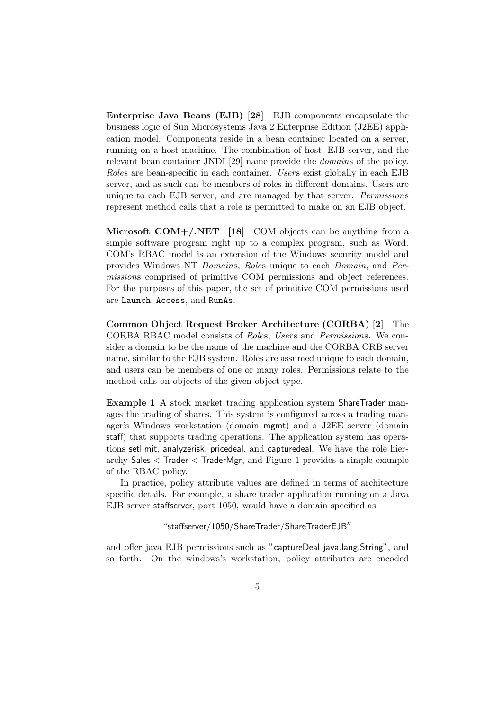Enterprise Java Beans (EJB) [28] EJB components encapsulate the business logic of Sun Microsystems Java 2 Enterprise Edition (J2EE) application model. Components reside in a bean container located on a server, running on a host machine. The combination of host, EJB server, and the relevant bean container JNDI [29] name provide the domains of the policy. Roles are bean-specific in each container. Users exist globally in each EJB server, and as such can be members of roles in different domains. Users are unique to each EJB server, and are managed by that server. Permissions represent method calls that a role is permitted to make on an EJB object.

**Microsoft COM+/.NET** [18] COM objects can be anything from a simple software program right up to a complex program, such as Word. COM's RBAC model is an extension of the Windows security model and provides Windows NT Domains, Roles unique to each Domain, and Permissions comprised of primitive COM permissions and object references. For the purposes of this paper, the set of primitive COM permissions used are Launch, Access, and RunAs.

Common Object Request Broker Architecture (CORBA) [2] The CORBA RBAC model consists of Roles, Users and Permissions. We consider a domain to be the name of the machine and the CORBA ORB server name, similar to the EJB system. Roles are assumed unique to each domain, and users can be members of one or many roles. Permissions relate to the method calls on objects of the given object type.

Example 1 A stock market trading application system ShareTrader manages the trading of shares. This system is configured across a trading manager's Windows workstation (domain mgmt) and a J2EE server (domain staff) that supports trading operations. The application system has operations setlimit, analyzerisk, pricedeal, and capturedeal. We have the role hierarchy Sales < Trader < TraderMgr, and Figure 1 provides a simple example of the RBAC policy.

In practice, policy attribute values are defined in terms of architecture specific details. For example, a share trader application running on a Java EJB server staffserver, port 1050, would have a domain specified as

#### "staffserver/1050/ShareTrader/ShareTraderEJB′′

and offer java EJB permissions such as "captureDeal java.lang.String", and so forth. On the windows's workstation, policy attributes are encoded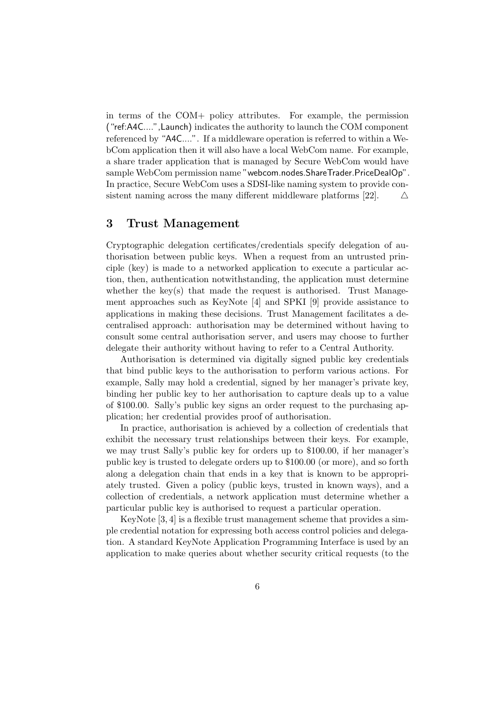in terms of the COM+ policy attributes. For example, the permission ("ref:A4C....",Launch) indicates the authority to launch the COM component referenced by "A4C....". If a middleware operation is referred to within a WebCom application then it will also have a local WebCom name. For example, a share trader application that is managed by Secure WebCom would have sample WebCom permission name "webcom.nodes.ShareTrader.PriceDealOp". In practice, Secure WebCom uses a SDSI-like naming system to provide consistent naming across the many different middleware platforms [22].  $\triangle$ 

### 3 Trust Management

Cryptographic delegation certificates/credentials specify delegation of authorisation between public keys. When a request from an untrusted principle (key) is made to a networked application to execute a particular action, then, authentication notwithstanding, the application must determine whether the key(s) that made the request is authorised. Trust Management approaches such as KeyNote [4] and SPKI [9] provide assistance to applications in making these decisions. Trust Management facilitates a decentralised approach: authorisation may be determined without having to consult some central authorisation server, and users may choose to further delegate their authority without having to refer to a Central Authority.

Authorisation is determined via digitally signed public key credentials that bind public keys to the authorisation to perform various actions. For example, Sally may hold a credential, signed by her manager's private key, binding her public key to her authorisation to capture deals up to a value of \$100.00. Sally's public key signs an order request to the purchasing application; her credential provides proof of authorisation.

In practice, authorisation is achieved by a collection of credentials that exhibit the necessary trust relationships between their keys. For example, we may trust Sally's public key for orders up to \$100.00, if her manager's public key is trusted to delegate orders up to \$100.00 (or more), and so forth along a delegation chain that ends in a key that is known to be appropriately trusted. Given a policy (public keys, trusted in known ways), and a collection of credentials, a network application must determine whether a particular public key is authorised to request a particular operation.

KeyNote [3, 4] is a flexible trust management scheme that provides a simple credential notation for expressing both access control policies and delegation. A standard KeyNote Application Programming Interface is used by an application to make queries about whether security critical requests (to the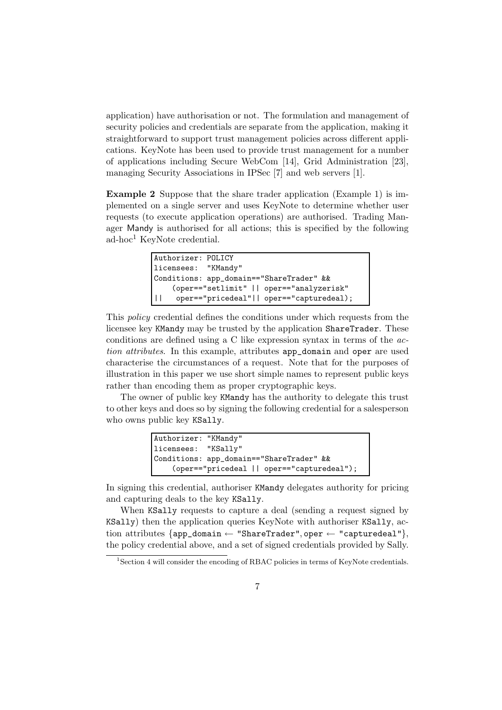application) have authorisation or not. The formulation and management of security policies and credentials are separate from the application, making it straightforward to support trust management policies across different applications. KeyNote has been used to provide trust management for a number of applications including Secure WebCom [14], Grid Administration [23], managing Security Associations in IPSec [7] and web servers [1].

Example 2 Suppose that the share trader application (Example 1) is implemented on a single server and uses KeyNote to determine whether user requests (to execute application operations) are authorised. Trading Manager Mandy is authorised for all actions; this is specified by the following ad-hoc<sup>1</sup> KeyNote credential.

```
Authorizer: POLICY
licensees: "KMandy"
Conditions: app_domain=="ShareTrader" &&
    (oper=="setlimit" || oper=="analyzerisk"
|| oper=="pricedeal"|| oper=="capturedeal);
```
This policy credential defines the conditions under which requests from the licensee key KMandy may be trusted by the application ShareTrader. These conditions are defined using a C like expression syntax in terms of the action attributes. In this example, attributes app\_domain and oper are used characterise the circumstances of a request. Note that for the purposes of illustration in this paper we use short simple names to represent public keys rather than encoding them as proper cryptographic keys.

The owner of public key KMandy has the authority to delegate this trust to other keys and does so by signing the following credential for a salesperson who owns public key KSally.

| Authorizer: "KMandy"                       |                                          |  |  |  |
|--------------------------------------------|------------------------------------------|--|--|--|
| licensees: "KSally"                        |                                          |  |  |  |
|                                            | Conditions: app_domain=="ShareTrader" && |  |  |  |
| (oper=="pricedeal    oper=="capturedeal"); |                                          |  |  |  |

In signing this credential, authoriser KMandy delegates authority for pricing and capturing deals to the key KSally.

When KSally requests to capture a deal (sending a request signed by KSally) then the application queries KeyNote with authoriser KSally, action attributes  $\{\text{app\_domain} \leftarrow \text{"ShareTrader", oper} \leftarrow \text{"capturedeal"}\},\$ the policy credential above, and a set of signed credentials provided by Sally.

<sup>&</sup>lt;sup>1</sup>Section 4 will consider the encoding of RBAC policies in terms of KeyNote credentials.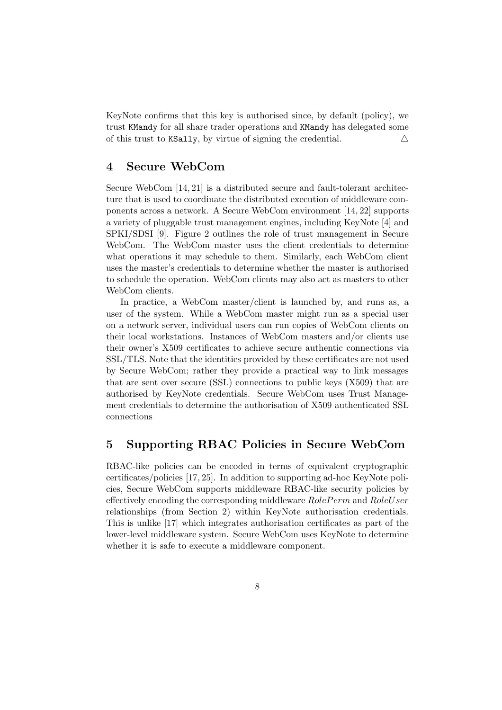KeyNote confirms that this key is authorised since, by default (policy), we trust KMandy for all share trader operations and KMandy has delegated some of this trust to KSally, by virtue of signing the credential.  $\triangle$ 

# 4 Secure WebCom

Secure WebCom [14, 21] is a distributed secure and fault-tolerant architecture that is used to coordinate the distributed execution of middleware components across a network. A Secure WebCom environment [14, 22] supports a variety of pluggable trust management engines, including KeyNote [4] and SPKI/SDSI [9]. Figure 2 outlines the role of trust management in Secure WebCom. The WebCom master uses the client credentials to determine what operations it may schedule to them. Similarly, each WebCom client uses the master's credentials to determine whether the master is authorised to schedule the operation. WebCom clients may also act as masters to other WebCom clients.

In practice, a WebCom master/client is launched by, and runs as, a user of the system. While a WebCom master might run as a special user on a network server, individual users can run copies of WebCom clients on their local workstations. Instances of WebCom masters and/or clients use their owner's X509 certificates to achieve secure authentic connections via SSL/TLS. Note that the identities provided by these certificates are not used by Secure WebCom; rather they provide a practical way to link messages that are sent over secure (SSL) connections to public keys (X509) that are authorised by KeyNote credentials. Secure WebCom uses Trust Management credentials to determine the authorisation of X509 authenticated SSL connections

# 5 Supporting RBAC Policies in Secure WebCom

RBAC-like policies can be encoded in terms of equivalent cryptographic certificates/policies [17, 25]. In addition to supporting ad-hoc KeyNote policies, Secure WebCom supports middleware RBAC-like security policies by effectively encoding the corresponding middleware RolePerm and RoleUser relationships (from Section 2) within KeyNote authorisation credentials. This is unlike [17] which integrates authorisation certificates as part of the lower-level middleware system. Secure WebCom uses KeyNote to determine whether it is safe to execute a middleware component.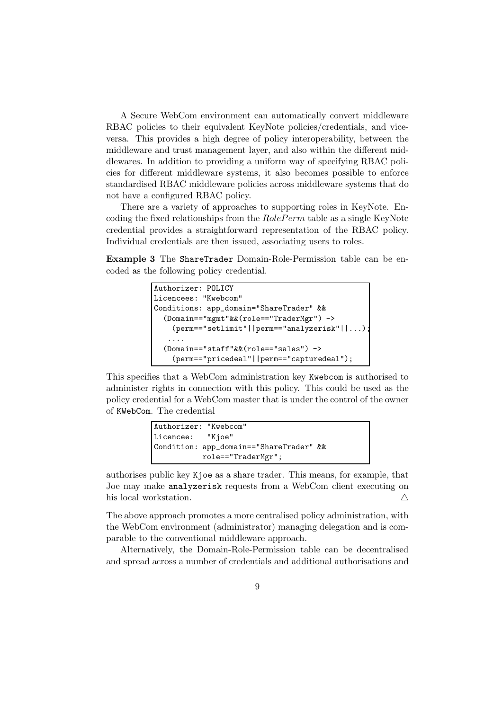A Secure WebCom environment can automatically convert middleware RBAC policies to their equivalent KeyNote policies/credentials, and viceversa. This provides a high degree of policy interoperability, between the middleware and trust management layer, and also within the different middlewares. In addition to providing a uniform way of specifying RBAC policies for different middleware systems, it also becomes possible to enforce standardised RBAC middleware policies across middleware systems that do not have a configured RBAC policy.

There are a variety of approaches to supporting roles in KeyNote. Encoding the fixed relationships from the RolePerm table as a single KeyNote credential provides a straightforward representation of the RBAC policy. Individual credentials are then issued, associating users to roles.

Example 3 The ShareTrader Domain-Role-Permission table can be encoded as the following policy credential.

```
Authorizer: POLICY
Licencees: "Kwebcom"
Conditions: app_domain="ShareTrader" &&
  (Domain=="mgmt"&&(role=="TraderMgr") ->
    (perm=="setlimit"||perm=="analyzerisk"||...);
   ....
  (Domain=="staff"&&(role=="sales") ->
    (perm=="pricedeal"||perm=="capturedeal");
```
This specifies that a WebCom administration key Kwebcom is authorised to administer rights in connection with this policy. This could be used as the policy credential for a WebCom master that is under the control of the owner of KWebCom. The credential

```
Authorizer: "Kwebcom"
Licencee: "Kjoe"
Condition: app_domain=="ShareTrader" &&
           role=="TraderMgr";
```
authorises public key Kjoe as a share trader. This means, for example, that Joe may make analyzerisk requests from a WebCom client executing on his local workstation.  $\triangle$ 

The above approach promotes a more centralised policy administration, with the WebCom environment (administrator) managing delegation and is comparable to the conventional middleware approach.

Alternatively, the Domain-Role-Permission table can be decentralised and spread across a number of credentials and additional authorisations and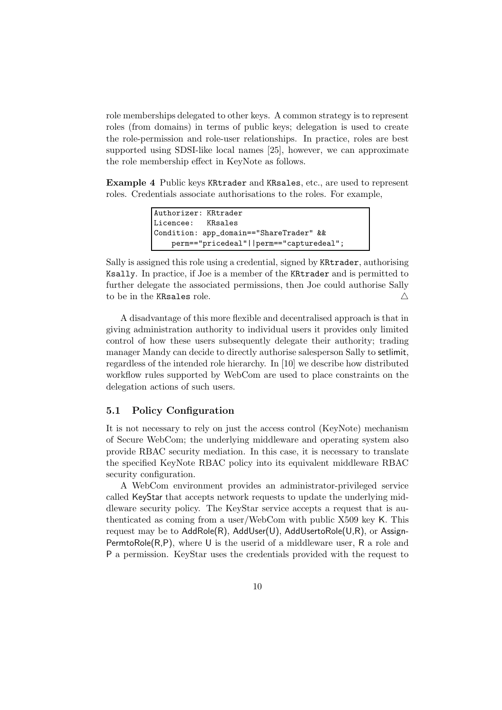role memberships delegated to other keys. A common strategy is to represent roles (from domains) in terms of public keys; delegation is used to create the role-permission and role-user relationships. In practice, roles are best supported using SDSI-like local names [25], however, we can approximate the role membership effect in KeyNote as follows.

Example 4 Public keys KRtrader and KRsales, etc., are used to represent roles. Credentials associate authorisations to the roles. For example,

```
Authorizer: KRtrader
Licencee: KRsales
Condition: app_domain=="ShareTrader" &&
   perm=="pricedeal"||perm=="capturedeal";
```
Sally is assigned this role using a credential, signed by KRtrader, authorising Ksally. In practice, if Joe is a member of the KRtrader and is permitted to further delegate the associated permissions, then Joe could authorise Sally to be in the KRsales role.  $\triangle$ 

A disadvantage of this more flexible and decentralised approach is that in giving administration authority to individual users it provides only limited control of how these users subsequently delegate their authority; trading manager Mandy can decide to directly authorise salesperson Sally to setlimit, regardless of the intended role hierarchy. In [10] we describe how distributed workflow rules supported by WebCom are used to place constraints on the delegation actions of such users.

#### 5.1 Policy Configuration

It is not necessary to rely on just the access control (KeyNote) mechanism of Secure WebCom; the underlying middleware and operating system also provide RBAC security mediation. In this case, it is necessary to translate the specified KeyNote RBAC policy into its equivalent middleware RBAC security configuration.

A WebCom environment provides an administrator-privileged service called KeyStar that accepts network requests to update the underlying middleware security policy. The KeyStar service accepts a request that is authenticated as coming from a user/WebCom with public X509 key K. This request may be to AddRole(R), AddUser(U), AddUsertoRole(U,R), or Assign-PermtoRole( $R, P$ ), where U is the userid of a middleware user, R a role and P a permission. KeyStar uses the credentials provided with the request to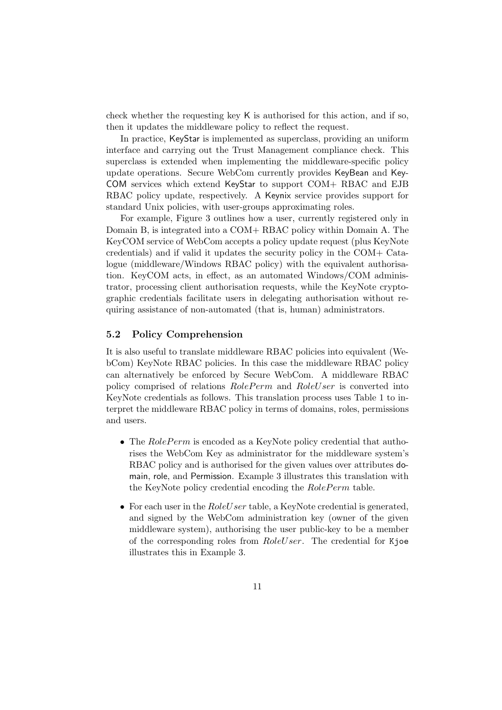check whether the requesting key K is authorised for this action, and if so, then it updates the middleware policy to reflect the request.

In practice, KeyStar is implemented as superclass, providing an uniform interface and carrying out the Trust Management compliance check. This superclass is extended when implementing the middleware-specific policy update operations. Secure WebCom currently provides KeyBean and Key-COM services which extend KeyStar to support COM+ RBAC and EJB RBAC policy update, respectively. A Keynix service provides support for standard Unix policies, with user-groups approximating roles.

For example, Figure 3 outlines how a user, currently registered only in Domain B, is integrated into a COM+ RBAC policy within Domain A. The KeyCOM service of WebCom accepts a policy update request (plus KeyNote credentials) and if valid it updates the security policy in the COM+ Catalogue (middleware/Windows RBAC policy) with the equivalent authorisation. KeyCOM acts, in effect, as an automated Windows/COM administrator, processing client authorisation requests, while the KeyNote cryptographic credentials facilitate users in delegating authorisation without requiring assistance of non-automated (that is, human) administrators.

#### 5.2 Policy Comprehension

It is also useful to translate middleware RBAC policies into equivalent (WebCom) KeyNote RBAC policies. In this case the middleware RBAC policy can alternatively be enforced by Secure WebCom. A middleware RBAC policy comprised of relations RolePerm and RoleUser is converted into KeyNote credentials as follows. This translation process uses Table 1 to interpret the middleware RBAC policy in terms of domains, roles, permissions and users.

- The  $RolePerm$  is encoded as a KeyNote policy credential that authorises the WebCom Key as administrator for the middleware system's RBAC policy and is authorised for the given values over attributes domain, role, and Permission. Example 3 illustrates this translation with the KeyNote policy credential encoding the RolePerm table.
- For each user in the  $RoleUser$  table, a KeyNote credential is generated, and signed by the WebCom administration key (owner of the given middleware system), authorising the user public-key to be a member of the corresponding roles from RoleUser. The credential for Kjoe illustrates this in Example 3.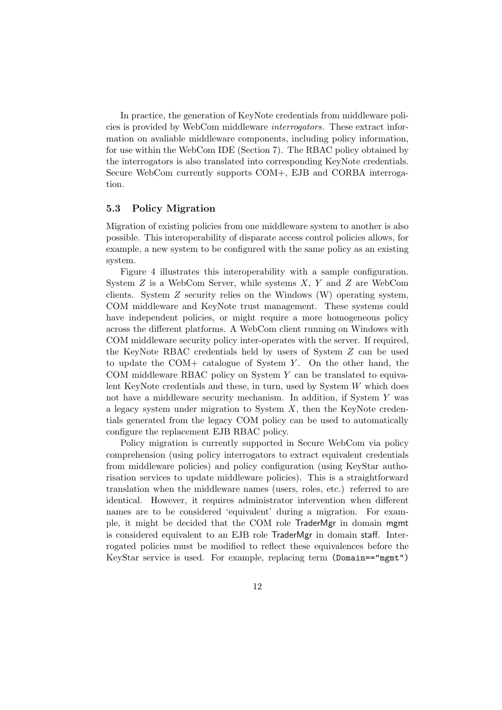In practice, the generation of KeyNote credentials from middleware policies is provided by WebCom middleware interrogators. These extract information on avaliable middleware components, including policy information, for use within the WebCom IDE (Section 7). The RBAC policy obtained by the interrogators is also translated into corresponding KeyNote credentials. Secure WebCom currently supports COM+, EJB and CORBA interrogation.

### 5.3 Policy Migration

Migration of existing policies from one middleware system to another is also possible. This interoperability of disparate access control policies allows, for example, a new system to be configured with the same policy as an existing system.

Figure 4 illustrates this interoperability with a sample configuration. System Z is a WebCom Server, while systems X, Y and Z are WebCom clients. System Z security relies on the Windows (W) operating system, COM middleware and KeyNote trust management. These systems could have independent policies, or might require a more homogeneous policy across the different platforms. A WebCom client running on Windows with COM middleware security policy inter-operates with the server. If required, the KeyNote RBAC credentials held by users of System Z can be used to update the COM+ catalogue of System  $Y$ . On the other hand, the COM middleware RBAC policy on System  $Y$  can be translated to equivalent KeyNote credentials and these, in turn, used by System  $W$  which does not have a middleware security mechanism. In addition, if System Y was a legacy system under migration to System  $X$ , then the KeyNote credentials generated from the legacy COM policy can be used to automatically configure the replacement EJB RBAC policy.

Policy migration is currently supported in Secure WebCom via policy comprehension (using policy interrogators to extract equivalent credentials from middleware policies) and policy configuration (using KeyStar authorisation services to update middleware policies). This is a straightforward translation when the middleware names (users, roles, etc.) referred to are identical. However, it requires administrator intervention when different names are to be considered 'equivalent' during a migration. For example, it might be decided that the COM role TraderMgr in domain mgmt is considered equivalent to an EJB role TraderMgr in domain staff. Interrogated policies must be modified to reflect these equivalences before the KeyStar service is used. For example, replacing term (Domain=="mgmt")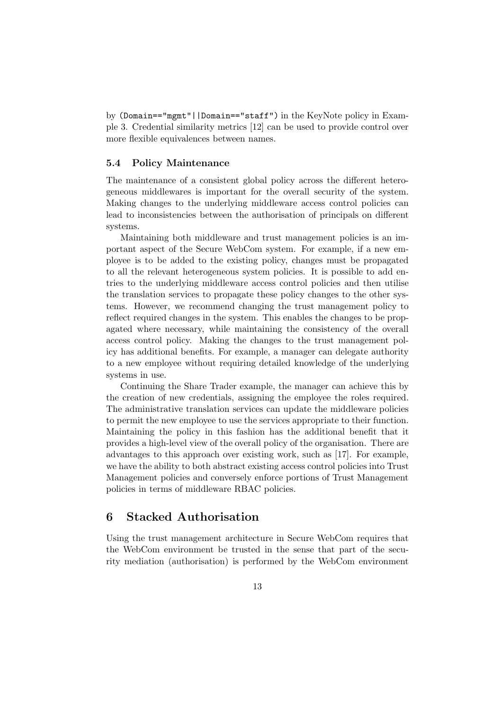by (Domain=="mgmt"||Domain=="staff") in the KeyNote policy in Example 3. Credential similarity metrics [12] can be used to provide control over more flexible equivalences between names.

#### 5.4 Policy Maintenance

The maintenance of a consistent global policy across the different heterogeneous middlewares is important for the overall security of the system. Making changes to the underlying middleware access control policies can lead to inconsistencies between the authorisation of principals on different systems.

Maintaining both middleware and trust management policies is an important aspect of the Secure WebCom system. For example, if a new employee is to be added to the existing policy, changes must be propagated to all the relevant heterogeneous system policies. It is possible to add entries to the underlying middleware access control policies and then utilise the translation services to propagate these policy changes to the other systems. However, we recommend changing the trust management policy to reflect required changes in the system. This enables the changes to be propagated where necessary, while maintaining the consistency of the overall access control policy. Making the changes to the trust management policy has additional benefits. For example, a manager can delegate authority to a new employee without requiring detailed knowledge of the underlying systems in use.

Continuing the Share Trader example, the manager can achieve this by the creation of new credentials, assigning the employee the roles required. The administrative translation services can update the middleware policies to permit the new employee to use the services appropriate to their function. Maintaining the policy in this fashion has the additional benefit that it provides a high-level view of the overall policy of the organisation. There are advantages to this approach over existing work, such as [17]. For example, we have the ability to both abstract existing access control policies into Trust Management policies and conversely enforce portions of Trust Management policies in terms of middleware RBAC policies.

# 6 Stacked Authorisation

Using the trust management architecture in Secure WebCom requires that the WebCom environment be trusted in the sense that part of the security mediation (authorisation) is performed by the WebCom environment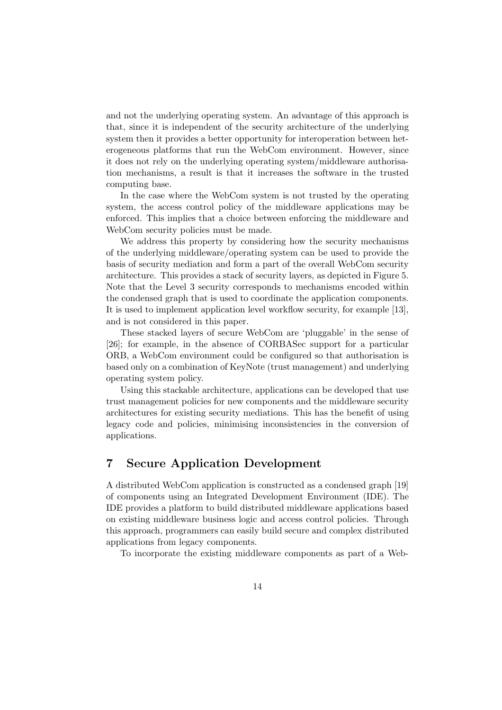and not the underlying operating system. An advantage of this approach is that, since it is independent of the security architecture of the underlying system then it provides a better opportunity for interoperation between heterogeneous platforms that run the WebCom environment. However, since it does not rely on the underlying operating system/middleware authorisation mechanisms, a result is that it increases the software in the trusted computing base.

In the case where the WebCom system is not trusted by the operating system, the access control policy of the middleware applications may be enforced. This implies that a choice between enforcing the middleware and WebCom security policies must be made.

We address this property by considering how the security mechanisms of the underlying middleware/operating system can be used to provide the basis of security mediation and form a part of the overall WebCom security architecture. This provides a stack of security layers, as depicted in Figure 5. Note that the Level 3 security corresponds to mechanisms encoded within the condensed graph that is used to coordinate the application components. It is used to implement application level workflow security, for example [13], and is not considered in this paper.

These stacked layers of secure WebCom are 'pluggable' in the sense of [26]; for example, in the absence of CORBASec support for a particular ORB, a WebCom environment could be configured so that authorisation is based only on a combination of KeyNote (trust management) and underlying operating system policy.

Using this stackable architecture, applications can be developed that use trust management policies for new components and the middleware security architectures for existing security mediations. This has the benefit of using legacy code and policies, minimising inconsistencies in the conversion of applications.

# 7 Secure Application Development

A distributed WebCom application is constructed as a condensed graph [19] of components using an Integrated Development Environment (IDE). The IDE provides a platform to build distributed middleware applications based on existing middleware business logic and access control policies. Through this approach, programmers can easily build secure and complex distributed applications from legacy components.

To incorporate the existing middleware components as part of a Web-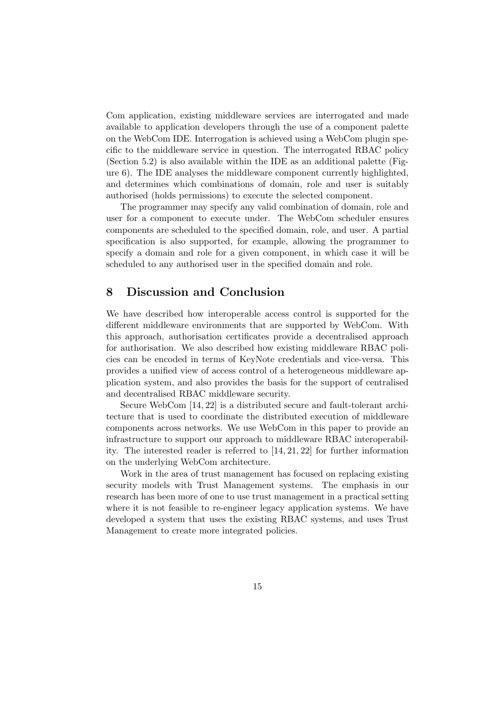Com application, existing middleware services are interrogated and made available to application developers through the use of a component palette on the WebCom IDE. Interrogation is achieved using a WebCom plugin specific to the middleware service in question. The interrogated RBAC policy (Section 5.2) is also available within the IDE as an additional palette (Figure 6). The IDE analyses the middleware component currently highlighted, and determines which combinations of domain, role and user is suitably authorised (holds permissions) to execute the selected component.

The programmer may specify any valid combination of domain, role and user for a component to execute under. The WebCom scheduler ensures components are scheduled to the specified domain, role, and user. A partial specification is also supported, for example, allowing the programmer to specify a domain and role for a given component, in which case it will be scheduled to any authorised user in the specified domain and role.

### 8 Discussion and Conclusion

We have described how interoperable access control is supported for the different middleware environments that are supported by WebCom. With this approach, authorisation certificates provide a decentralised approach for authorisation. We also described how existing middleware RBAC policies can be encoded in terms of KeyNote credentials and vice-versa. This provides a unified view of access control of a heterogeneous middleware application system, and also provides the basis for the support of centralised and decentralised RBAC middleware security.

Secure WebCom [14, 22] is a distributed secure and fault-tolerant architecture that is used to coordinate the distributed execution of middleware components across networks. We use WebCom in this paper to provide an infrastructure to support our approach to middleware RBAC interoperability. The interested reader is referred to [14, 21, 22] for further information on the underlying WebCom architecture.

Work in the area of trust management has focused on replacing existing security models with Trust Management systems. The emphasis in our research has been more of one to use trust management in a practical setting where it is not feasible to re-engineer legacy application systems. We have developed a system that uses the existing RBAC systems, and uses Trust Management to create more integrated policies.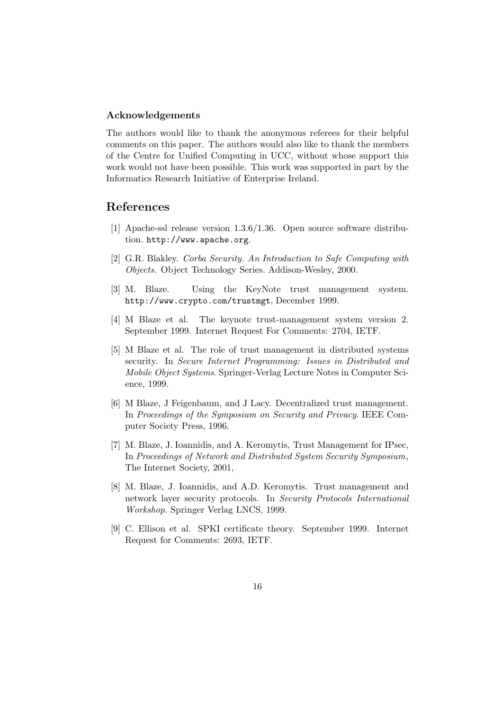#### Acknowledgements

The authors would like to thank the anonymous referees for their helpful comments on this paper. The authors would also like to thank the members of the Centre for Unified Computing in UCC, without whose support this work would not have been possible. This work was supported in part by the Informatics Research Initiative of Enterprise Ireland.

### References

- [1] Apache-ssl release version 1.3.6/1.36. Open source software distribution. http://www.apache.org.
- [2] G.R. Blakley. Corba Security. An Introduction to Safe Computing with Objects. Object Technology Series. Addison-Wesley, 2000.
- [3] M. Blaze. Using the KeyNote trust management system. http://www.crypto.com/trustmgt, December 1999.
- [4] M Blaze et al. The keynote trust-management system version 2. September 1999. Internet Request For Comments: 2704, IETF.
- [5] M Blaze et al. The role of trust management in distributed systems security. In Secure Internet Programming: Issues in Distributed and Mobile Object Systems. Springer-Verlag Lecture Notes in Computer Science, 1999.
- [6] M Blaze, J Feigenbaum, and J Lacy. Decentralized trust management. In Proceedings of the Symposium on Security and Privacy. IEEE Computer Society Press, 1996.
- [7] M. Blaze, J. Ioannidis, and A. Keromytis, Trust Management for IPsec, In Proceedings of Network and Distributed System Security Symposium, The Internet Society, 2001,
- [8] M. Blaze, J. Ioannidis, and A.D. Keromytis. Trust management and network layer security protocols. In Security Protocols International Workshop. Springer Verlag LNCS, 1999.
- [9] C. Ellison et al. SPKI certificate theory. September 1999. Internet Request for Comments: 2693, IETF.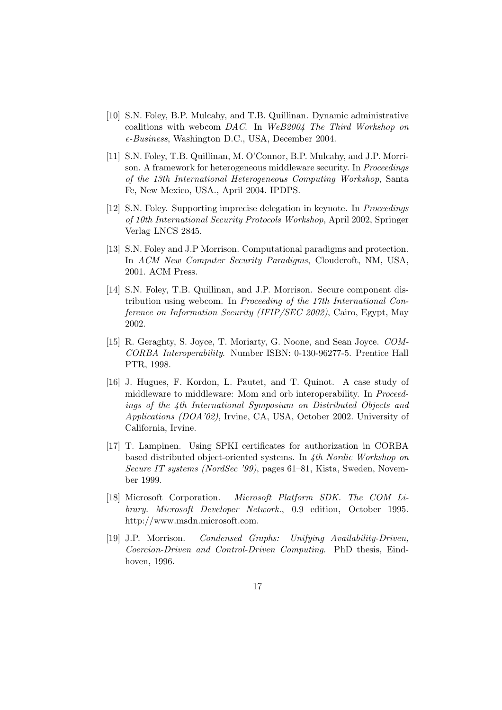- [10] S.N. Foley, B.P. Mulcahy, and T.B. Quillinan. Dynamic administrative coalitions with webcom DAC. In WeB2004 The Third Workshop on e-Business, Washington D.C., USA, December 2004.
- [11] S.N. Foley, T.B. Quillinan, M. O'Connor, B.P. Mulcahy, and J.P. Morrison. A framework for heterogeneous middleware security. In *Proceedings* of the 13th International Heterogeneous Computing Workshop, Santa Fe, New Mexico, USA., April 2004. IPDPS.
- [12] S.N. Foley. Supporting imprecise delegation in keynote. In Proceedings of 10th International Security Protocols Workshop, April 2002, Springer Verlag LNCS 2845.
- [13] S.N. Foley and J.P Morrison. Computational paradigms and protection. In ACM New Computer Security Paradigms, Cloudcroft, NM, USA, 2001. ACM Press.
- [14] S.N. Foley, T.B. Quillinan, and J.P. Morrison. Secure component distribution using webcom. In Proceeding of the 17th International Conference on Information Security (IFIP/SEC 2002), Cairo, Egypt, May 2002.
- [15] R. Geraghty, S. Joyce, T. Moriarty, G. Noone, and Sean Joyce. COM-CORBA Interoperability. Number ISBN: 0-130-96277-5. Prentice Hall PTR, 1998.
- [16] J. Hugues, F. Kordon, L. Pautet, and T. Quinot. A case study of middleware to middleware: Mom and orb interoperability. In Proceedings of the 4th International Symposium on Distributed Objects and Applications (DOA'02), Irvine, CA, USA, October 2002. University of California, Irvine.
- [17] T. Lampinen. Using SPKI certificates for authorization in CORBA based distributed object-oriented systems. In 4th Nordic Workshop on Secure IT systems (NordSec '99), pages 61–81, Kista, Sweden, November 1999.
- [18] Microsoft Corporation. Microsoft Platform SDK. The COM Library. Microsoft Developer Network., 0.9 edition, October 1995. http://www.msdn.microsoft.com.
- [19] J.P. Morrison. Condensed Graphs: Unifying Availability-Driven, Coercion-Driven and Control-Driven Computing. PhD thesis, Eindhoven, 1996.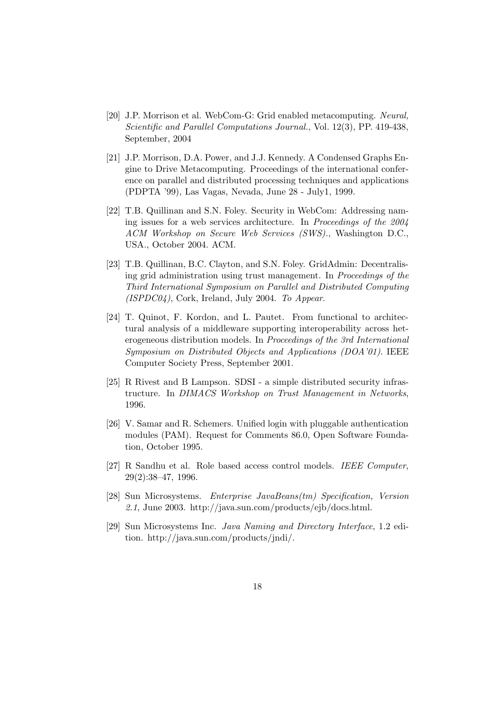- [20] J.P. Morrison et al. WebCom-G: Grid enabled metacomputing. Neural, Scientific and Parallel Computations Journal., Vol. 12(3), PP. 419-438, September, 2004
- [21] J.P. Morrison, D.A. Power, and J.J. Kennedy. A Condensed Graphs Engine to Drive Metacomputing. Proceedings of the international conference on parallel and distributed processing techniques and applications (PDPTA '99), Las Vagas, Nevada, June 28 - July1, 1999.
- [22] T.B. Quillinan and S.N. Foley. Security in WebCom: Addressing naming issues for a web services architecture. In Proceedings of the 2004 ACM Workshop on Secure Web Services (SWS)., Washington D.C., USA., October 2004. ACM.
- [23] T.B. Quillinan, B.C. Clayton, and S.N. Foley. GridAdmin: Decentralising grid administration using trust management. In Proceedings of the Third International Symposium on Parallel and Distributed Computing (ISPDC04), Cork, Ireland, July 2004. To Appear.
- [24] T. Quinot, F. Kordon, and L. Pautet. From functional to architectural analysis of a middleware supporting interoperability across heterogeneous distribution models. In Proceedings of the 3rd International Symposium on Distributed Objects and Applications (DOA'01). IEEE Computer Society Press, September 2001.
- [25] R Rivest and B Lampson. SDSI a simple distributed security infrastructure. In DIMACS Workshop on Trust Management in Networks, 1996.
- [26] V. Samar and R. Schemers. Unified login with pluggable authentication modules (PAM). Request for Comments 86.0, Open Software Foundation, October 1995.
- [27] R Sandhu et al. Role based access control models. IEEE Computer, 29(2):38–47, 1996.
- [28] Sun Microsystems. Enterprise JavaBeans(tm) Specification, Version 2.1, June 2003. http://java.sun.com/products/ejb/docs.html.
- [29] Sun Microsystems Inc. Java Naming and Directory Interface, 1.2 edition. http://java.sun.com/products/jndi/.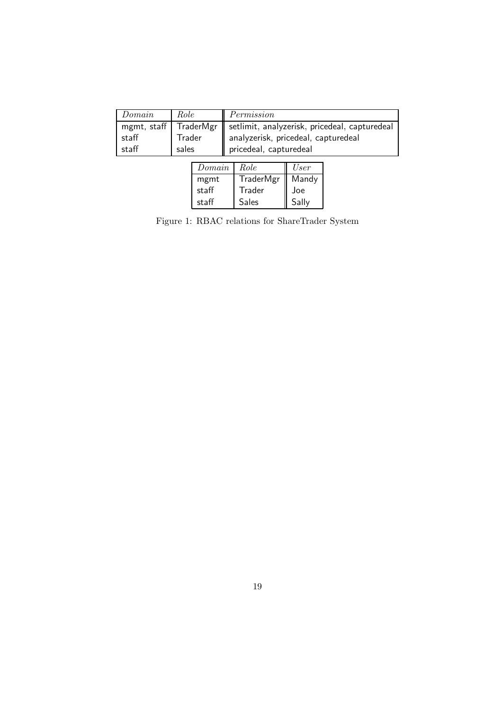| Domain      | Role   | Permission                                                |
|-------------|--------|-----------------------------------------------------------|
| mgmt, staff |        | TraderMgr   setlimit, analyzerisk, pricedeal, capturedeal |
| staff       | Trader | analyzerisk, pricedeal, capturedeal                       |
| staff       | sales  | pricedeal, capturedeal                                    |

| Domain | Role         | User  |
|--------|--------------|-------|
| mgmt   | TraderMgr    | Mandy |
| staff  | Trader       | Joe   |
| staff  | <b>Sales</b> | Sally |

Figure 1: RBAC relations for ShareTrader System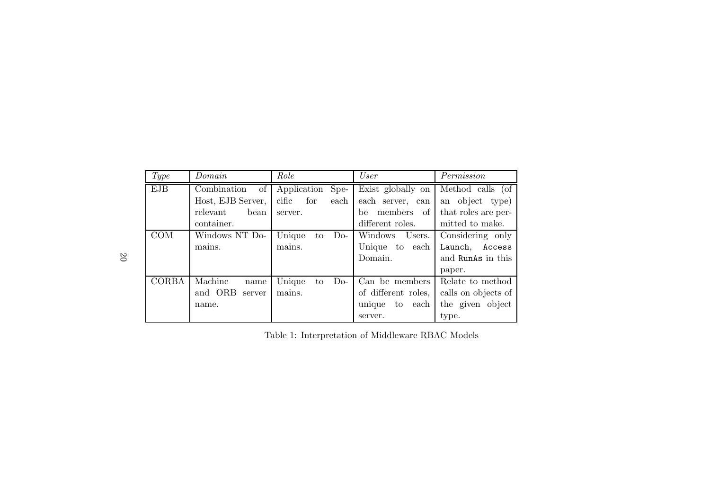| Type             | Domain            | Role                  | User                 | Permission          |
|------------------|-------------------|-----------------------|----------------------|---------------------|
| <b>EJB</b>       | of<br>Combination | Application<br>Spe-   | Exist globally on    | Method calls (of    |
|                  | Host, EJB Server, | cific<br>for<br>each  | each server, can     | an object type)     |
|                  | relevant<br>bean  | server.               | members<br>of<br>be  | that roles are per- |
|                  | container.        |                       | different roles.     | mitted to make.     |
| $\overline{COM}$ | Windows NT Do-    | Unique<br>$Do-$<br>to | Windows<br>Users.    | Considering only    |
|                  | mains.            | mains.                | Unique<br>to each    | Launch,<br>Access   |
|                  |                   |                       | Domain.              | and RunAs in this   |
|                  |                   |                       |                      | paper.              |
| CORBA            | Machine<br>name   | Unique<br>$Do-$<br>to | Can be members       | Relate to method    |
|                  | and ORB<br>server | mains.                | of different roles,  | calls on objects of |
|                  | name.             |                       | unique<br>to<br>each | the given object    |
|                  |                   |                       | server.              | type.               |

Table 1: Interpretation of Middleware RBAC Models

20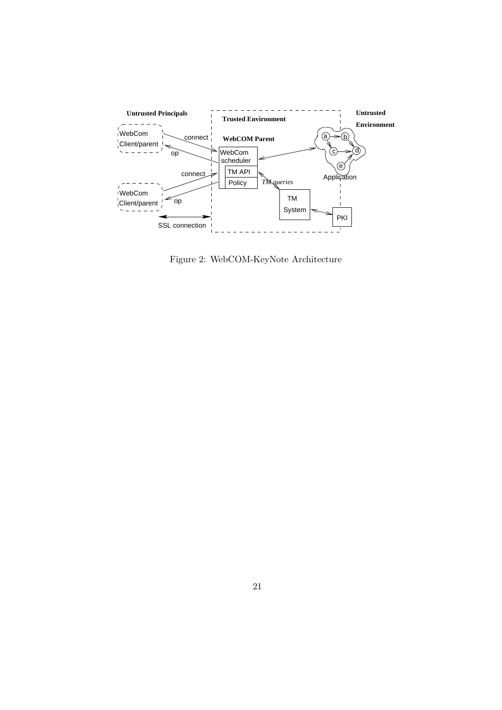

Figure 2: WebCOM-KeyNote Architecture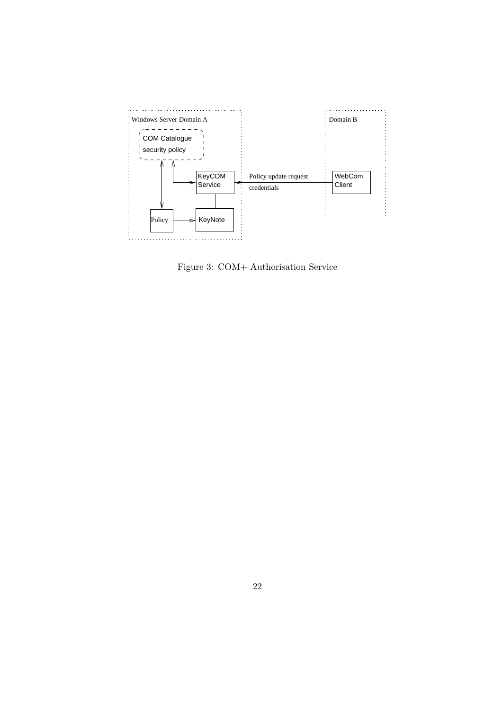

Figure 3: COM+ Authorisation Service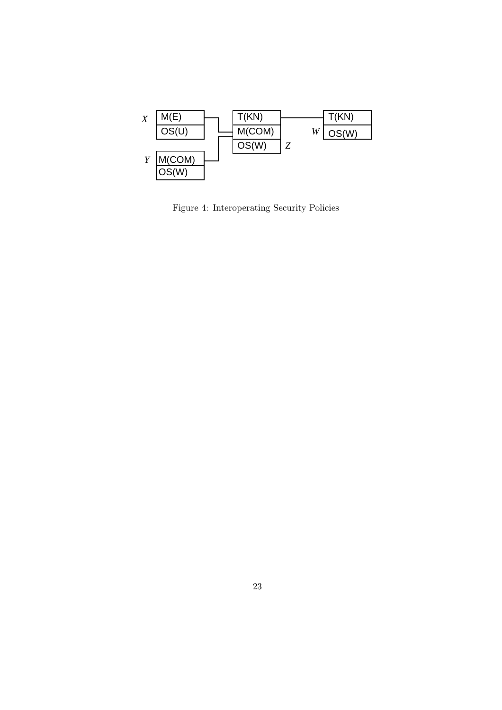

Figure 4: Interoperating Security Policies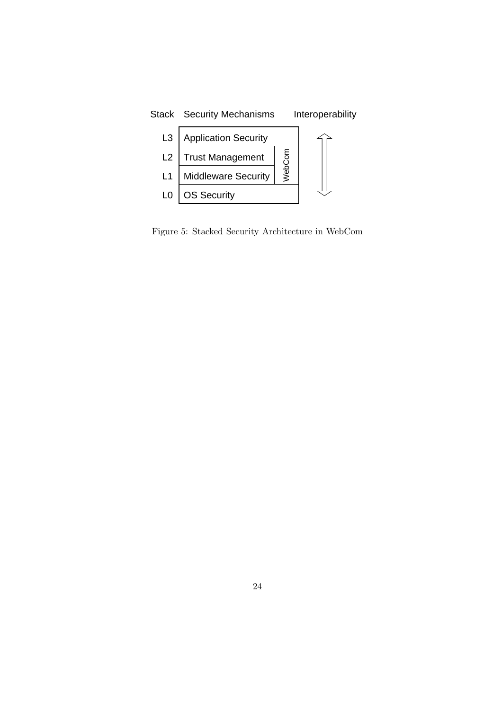

Figure 5: Stacked Security Architecture in WebCom